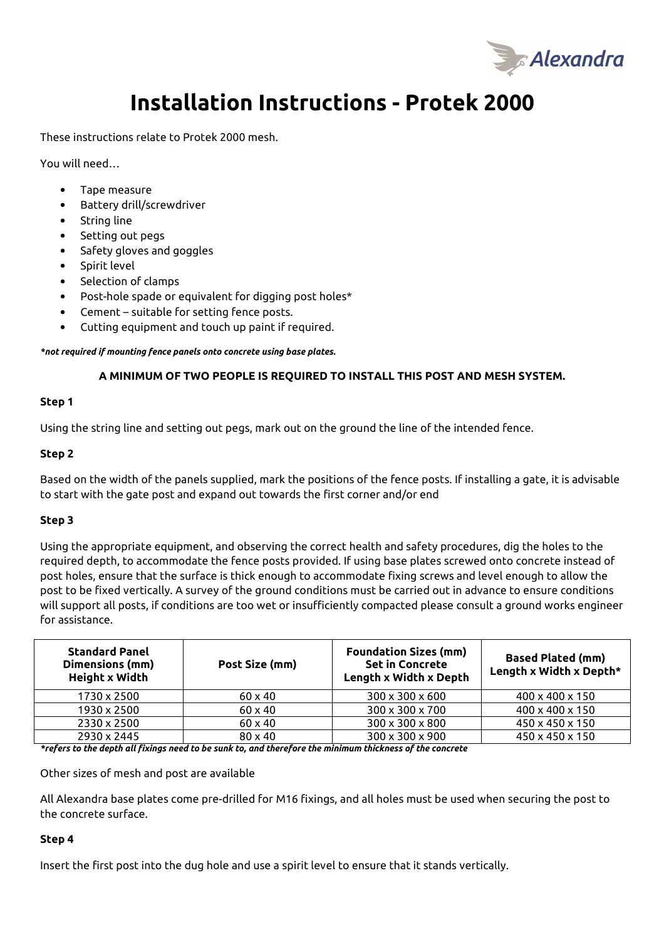

# **Installation Instructions - Protek 2000**

These instructions relate to Protek 2000 mesh.

You will need…

- Tape measure
- Battery drill/screwdriver
- String line
- Setting out pegs
- Safety gloves and goggles
- Spirit level
- Selection of clamps
- Post-hole spade or equivalent for digging post holes\*
- Cement suitable for setting fence posts.
- Cutting equipment and touch up paint if required.

*\*not required if mounting fence panels onto concrete using base plates.* 

#### **A MINIMUM OF TWO PEOPLE IS REQUIRED TO INSTALL THIS POST AND MESH SYSTEM.**

#### **Step 1**

Using the string line and setting out pegs, mark out on the ground the line of the intended fence.

#### **Step 2**

Based on the width of the panels supplied, mark the positions of the fence posts. If installing a gate, it is advisable to start with the gate post and expand out towards the first corner and/or end

#### **Step 3**

Using the appropriate equipment, and observing the correct health and safety procedures, dig the holes to the required depth, to accommodate the fence posts provided. If using base plates screwed onto concrete instead of post holes, ensure that the surface is thick enough to accommodate fixing screws and level enough to allow the post to be fixed vertically. A survey of the ground conditions must be carried out in advance to ensure conditions will support all posts, if conditions are too wet or insufficiently compacted please consult a ground works engineer for assistance.

| <b>Standard Panel</b><br>Dimensions (mm)<br>Height x Width | Post Size (mm) | <b>Foundation Sizes (mm)</b><br><b>Set in Concrete</b><br>Length x Width x Depth | <b>Based Plated (mm)</b><br>Length x Width x Depth* |
|------------------------------------------------------------|----------------|----------------------------------------------------------------------------------|-----------------------------------------------------|
| 1730 x 2500                                                | $60 \times 40$ | $300 \times 300 \times 600$                                                      | 400 x 400 x 150                                     |
| 1930 x 2500                                                | $60 \times 40$ | 300 x 300 x 700                                                                  | 400 x 400 x 150                                     |
| 2330 x 2500                                                | $60 \times 40$ | 300 x 300 x 800                                                                  | 450 x 450 x 150                                     |
| 2930 x 2445                                                | $80 \times 40$ | $300 \times 300 \times 900$                                                      | 450 x 450 x 150                                     |

*\*refers to the depth all fixings need to be sunk to, and therefore the minimum thickness of the concrete* 

Other sizes of mesh and post are available

All Alexandra base plates come pre-drilled for M16 fixings, and all holes must be used when securing the post to the concrete surface.

## **Step 4**

Insert the first post into the dug hole and use a spirit level to ensure that it stands vertically.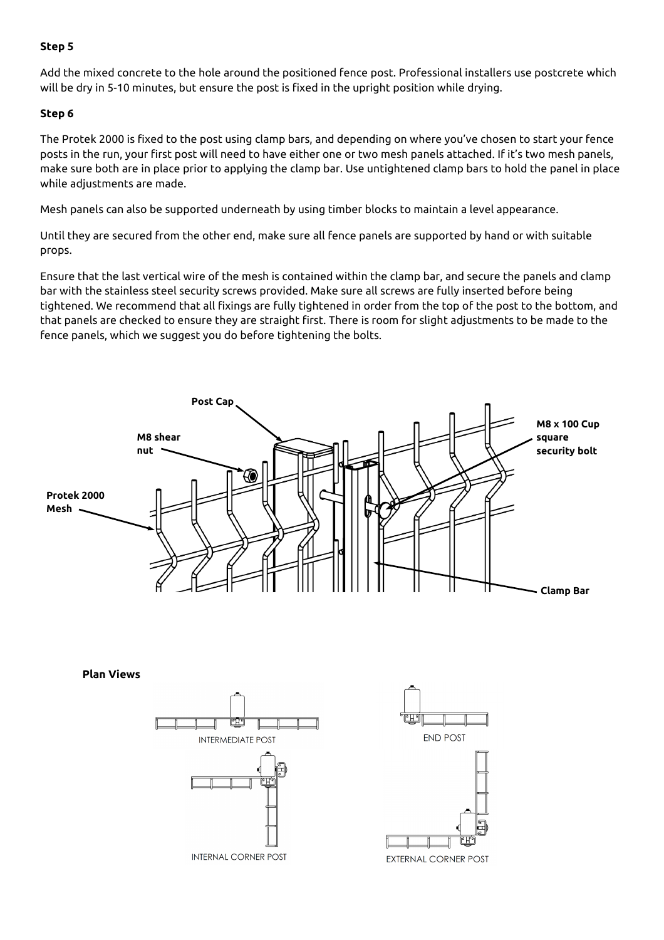# **Step 5**

Add the mixed concrete to the hole around the positioned fence post. Professional installers use postcrete which will be dry in 5-10 minutes, but ensure the post is fixed in the upright position while drying.

# **Step 6**

The Protek 2000 is fixed to the post using clamp bars, and depending on where you've chosen to start your fence posts in the run, your first post will need to have either one or two mesh panels attached. If it's two mesh panels, make sure both are in place prior to applying the clamp bar. Use untightened clamp bars to hold the panel in place while adjustments are made.

Mesh panels can also be supported underneath by using timber blocks to maintain a level appearance.

Until they are secured from the other end, make sure all fence panels are supported by hand or with suitable props.

Ensure that the last vertical wire of the mesh is contained within the clamp bar, and secure the panels and clamp bar with the stainless steel security screws provided. Make sure all screws are fully inserted before being tightened. We recommend that all fixings are fully tightened in order from the top of the post to the bottom, and that panels are checked to ensure they are straight first. There is room for slight adjustments to be made to the fence panels, which we suggest you do before tightening the bolts.



**Plan Views**